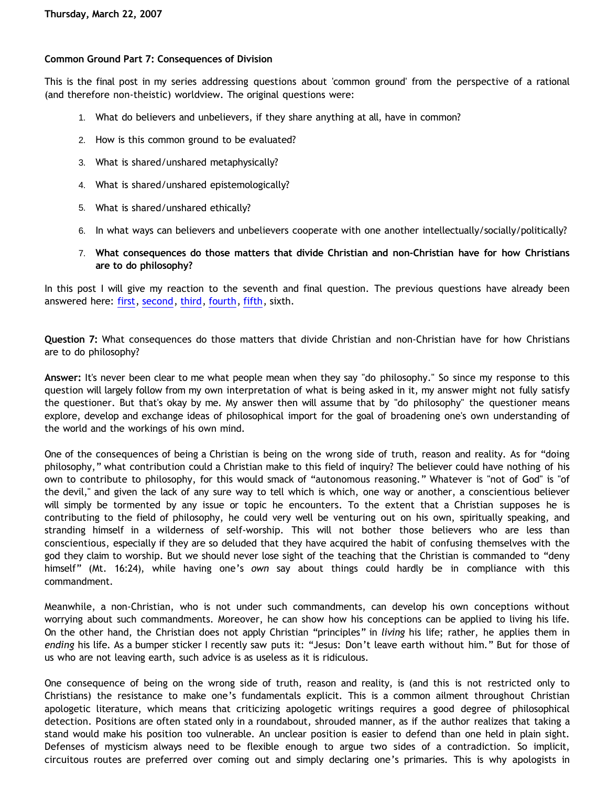## **Common Ground Part 7: Consequences of Division**

This is the final post in my series addressing questions about 'common ground' from the perspective of a rational (and therefore non-theistic) worldview. The original questions were:

- 1. What do believers and unbelievers, if they share anything at all, have in common?
- 2. How is this common ground to be evaluated?
- 3. What is shared/unshared metaphysically?
- 4. What is shared/unshared epistemologically?
- 5. What is shared/unshared ethically?
- 6. In what ways can believers and unbelievers cooperate with one another intellectually/socially/politically?
- 7. **What consequences do those matters that divide Christian and non-Christian have for how Christians are to do philosophy?**

In this post I will give my reaction to the seventh and final question. The previous questions have already been answered here: [first,](http://bahnsenburner.blogspot.com/2007/01/common-ground.html) [second](http://bahnsenburner.blogspot.com/2007/03/common-ground-part-2-standard-of.html), [third,](http://bahnsenburner.blogspot.com/2007/03/common-ground-part-3-metaphysics.html) [fourth,](http://bahnsenburner.blogspot.com/2007/03/common-ground-part-4-epistemology.html) [fifth](http://bahnsenburner.blogspot.com/2007/03/common-ground-part-5-ethics.html), sixth.

**Question 7:** What consequences do those matters that divide Christian and non-Christian have for how Christians are to do philosophy?

**Answer:** It's never been clear to me what people mean when they say "do philosophy." So since my response to this question will largely follow from my own interpretation of what is being asked in it, my answer might not fully satisfy the questioner. But that's okay by me. My answer then will assume that by "do philosophy" the questioner means explore, develop and exchange ideas of philosophical import for the goal of broadening one's own understanding of the world and the workings of his own mind.

One of the consequences of being a Christian is being on the wrong side of truth, reason and reality. As for "doing philosophy," what contribution could a Christian make to this field of inquiry? The believer could have nothing of his own to contribute to philosophy, for this would smack of "autonomous reasoning." Whatever is "not of God" is "of the devil," and given the lack of any sure way to tell which is which, one way or another, a conscientious believer will simply be tormented by any issue or topic he encounters. To the extent that a Christian supposes he is contributing to the field of philosophy, he could very well be venturing out on his own, spiritually speaking, and stranding himself in a wilderness of self-worship. This will not bother those believers who are less than conscientious, especially if they are so deluded that they have acquired the habit of confusing themselves with the god they claim to worship. But we should never lose sight of the teaching that the Christian is commanded to "deny himself" (Mt. 16:24), while having one's *own* say about things could hardly be in compliance with this commandment.

Meanwhile, a non-Christian, who is not under such commandments, can develop his own conceptions without worrying about such commandments. Moreover, he can show how his conceptions can be applied to living his life. On the other hand, the Christian does not apply Christian "principles" in *living* his life; rather, he applies them in *ending* his life. As a bumper sticker I recently saw puts it: "Jesus: Don't leave earth without him." But for those of us who are not leaving earth, such advice is as useless as it is ridiculous.

One consequence of being on the wrong side of truth, reason and reality, is (and this is not restricted only to Christians) the resistance to make one's fundamentals explicit. This is a common ailment throughout Christian apologetic literature, which means that criticizing apologetic writings requires a good degree of philosophical detection. Positions are often stated only in a roundabout, shrouded manner, as if the author realizes that taking a stand would make his position too vulnerable. An unclear position is easier to defend than one held in plain sight. Defenses of mysticism always need to be flexible enough to argue two sides of a contradiction. So implicit, circuitous routes are preferred over coming out and simply declaring one's primaries. This is why apologists in